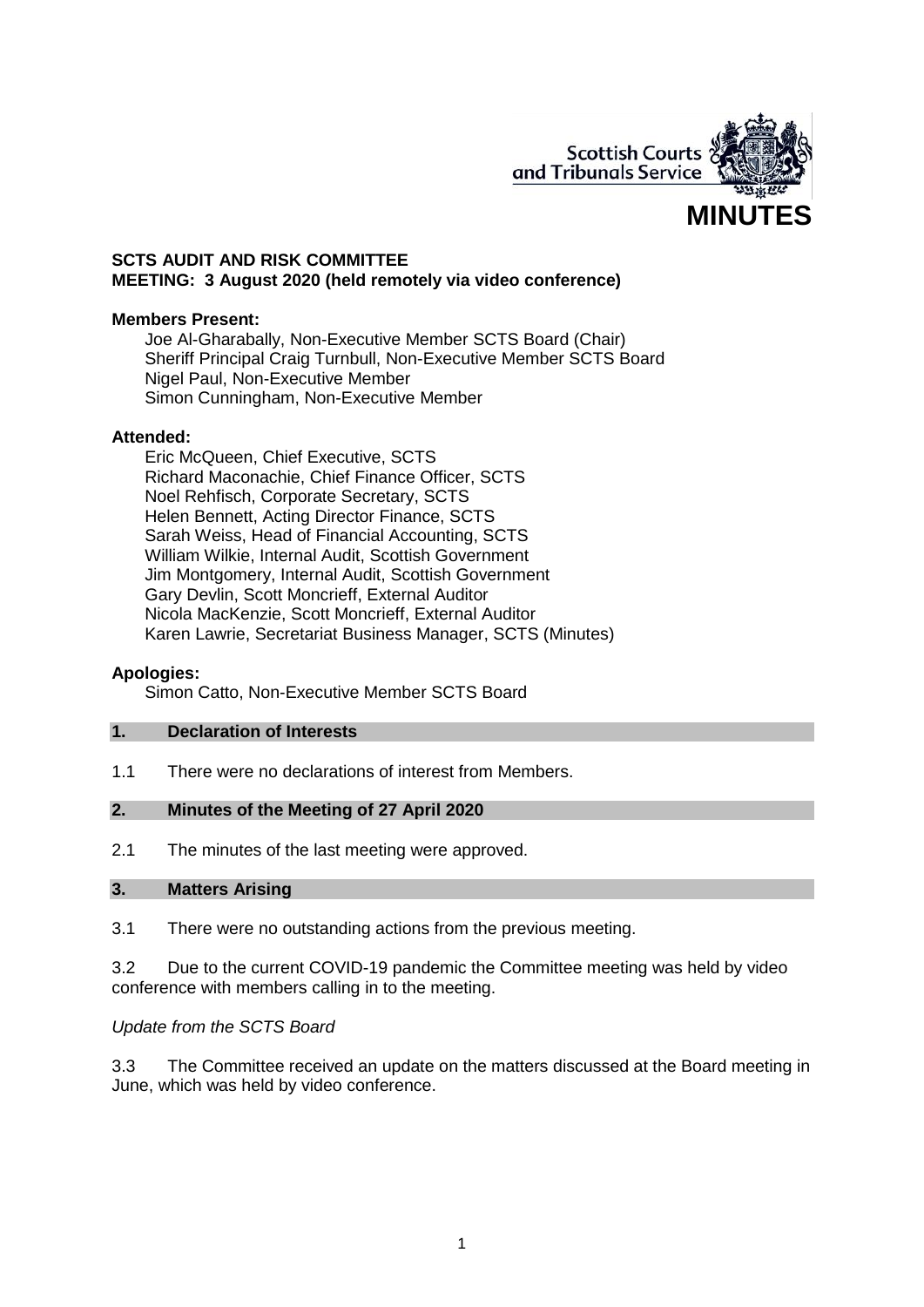

## **SCTS AUDIT AND RISK COMMITTEE MEETING: 3 August 2020 (held remotely via video conference)**

#### **Members Present:**

Joe Al-Gharabally, Non-Executive Member SCTS Board (Chair) Sheriff Principal Craig Turnbull, Non-Executive Member SCTS Board Nigel Paul, Non-Executive Member Simon Cunningham, Non-Executive Member

#### **Attended:**

Eric McQueen, Chief Executive, SCTS Richard Maconachie, Chief Finance Officer, SCTS Noel Rehfisch, Corporate Secretary, SCTS Helen Bennett, Acting Director Finance, SCTS Sarah Weiss, Head of Financial Accounting, SCTS William Wilkie, Internal Audit, Scottish Government Jim Montgomery, Internal Audit, Scottish Government Gary Devlin, Scott Moncrieff, External Auditor Nicola MacKenzie, Scott Moncrieff, External Auditor Karen Lawrie, Secretariat Business Manager, SCTS (Minutes)

#### **Apologies:**

Simon Catto, Non-Executive Member SCTS Board

#### **1. Declaration of Interests**

1.1 There were no declarations of interest from Members.

#### **2. Minutes of the Meeting of 27 April 2020**

2.1 The minutes of the last meeting were approved.

#### **3. Matters Arising**

3.1 There were no outstanding actions from the previous meeting.

3.2 Due to the current COVID-19 pandemic the Committee meeting was held by video conference with members calling in to the meeting.

## *Update from the SCTS Board*

3.3 The Committee received an update on the matters discussed at the Board meeting in June, which was held by video conference.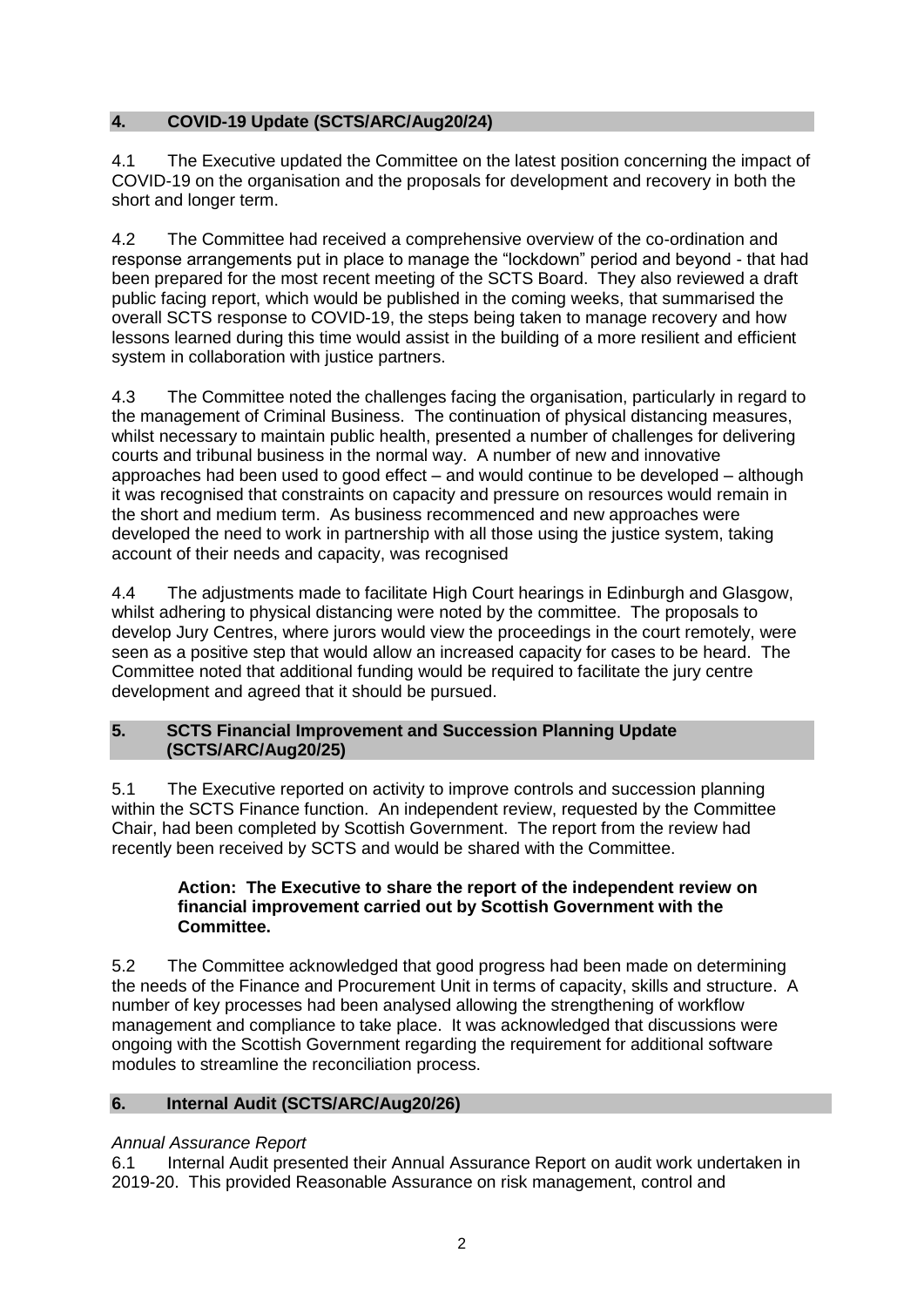# **4. COVID-19 Update (SCTS/ARC/Aug20/24)**

4.1 The Executive updated the Committee on the latest position concerning the impact of COVID-19 on the organisation and the proposals for development and recovery in both the short and longer term.

4.2 The Committee had received a comprehensive overview of the co-ordination and response arrangements put in place to manage the "lockdown" period and beyond - that had been prepared for the most recent meeting of the SCTS Board. They also reviewed a draft public facing report, which would be published in the coming weeks, that summarised the overall SCTS response to COVID-19, the steps being taken to manage recovery and how lessons learned during this time would assist in the building of a more resilient and efficient system in collaboration with justice partners.

4.3 The Committee noted the challenges facing the organisation, particularly in regard to the management of Criminal Business. The continuation of physical distancing measures, whilst necessary to maintain public health, presented a number of challenges for delivering courts and tribunal business in the normal way. A number of new and innovative approaches had been used to good effect – and would continue to be developed – although it was recognised that constraints on capacity and pressure on resources would remain in the short and medium term. As business recommenced and new approaches were developed the need to work in partnership with all those using the justice system, taking account of their needs and capacity, was recognised

4.4 The adjustments made to facilitate High Court hearings in Edinburgh and Glasgow, whilst adhering to physical distancing were noted by the committee. The proposals to develop Jury Centres, where jurors would view the proceedings in the court remotely, were seen as a positive step that would allow an increased capacity for cases to be heard. The Committee noted that additional funding would be required to facilitate the jury centre development and agreed that it should be pursued.

## **5. SCTS Financial Improvement and Succession Planning Update (SCTS/ARC/Aug20/25)**

5.1 The Executive reported on activity to improve controls and succession planning within the SCTS Finance function. An independent review, requested by the Committee Chair, had been completed by Scottish Government. The report from the review had recently been received by SCTS and would be shared with the Committee.

#### **Action: The Executive to share the report of the independent review on financial improvement carried out by Scottish Government with the Committee.**

5.2 The Committee acknowledged that good progress had been made on determining the needs of the Finance and Procurement Unit in terms of capacity, skills and structure. A number of key processes had been analysed allowing the strengthening of workflow management and compliance to take place. It was acknowledged that discussions were ongoing with the Scottish Government regarding the requirement for additional software modules to streamline the reconciliation process.

# **6. Internal Audit (SCTS/ARC/Aug20/26)**

# *Annual Assurance Report*

6.1 Internal Audit presented their Annual Assurance Report on audit work undertaken in 2019-20. This provided Reasonable Assurance on risk management, control and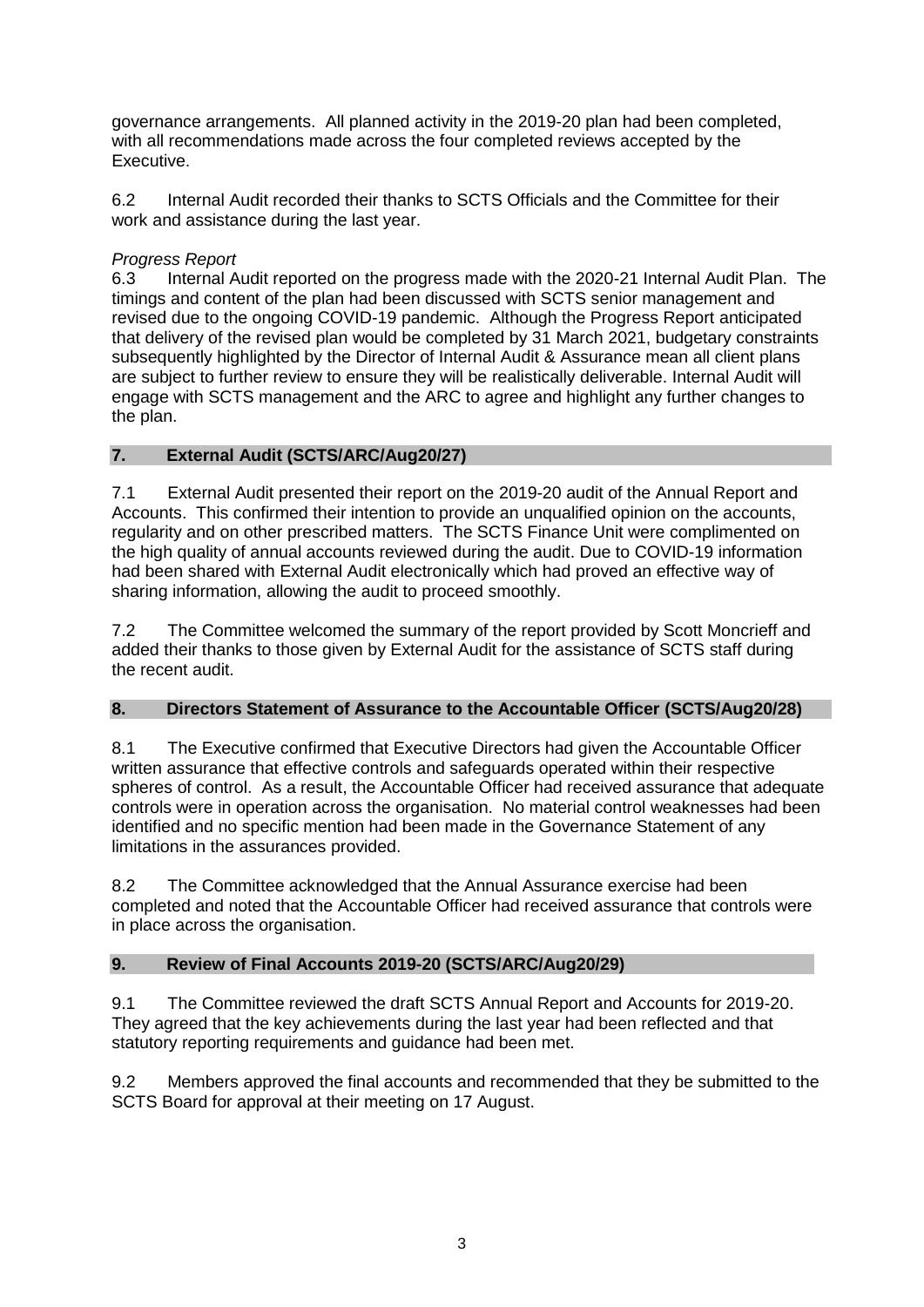governance arrangements. All planned activity in the 2019-20 plan had been completed, with all recommendations made across the four completed reviews accepted by the Executive.

6.2 Internal Audit recorded their thanks to SCTS Officials and the Committee for their work and assistance during the last year.

# *Progress Report*

6.3 Internal Audit reported on the progress made with the 2020-21 Internal Audit Plan. The timings and content of the plan had been discussed with SCTS senior management and revised due to the ongoing COVID-19 pandemic. Although the Progress Report anticipated that delivery of the revised plan would be completed by 31 March 2021, budgetary constraints subsequently highlighted by the Director of Internal Audit & Assurance mean all client plans are subject to further review to ensure they will be realistically deliverable. Internal Audit will engage with SCTS management and the ARC to agree and highlight any further changes to the plan.

# **7. External Audit (SCTS/ARC/Aug20/27)**

7.1 External Audit presented their report on the 2019-20 audit of the Annual Report and Accounts. This confirmed their intention to provide an unqualified opinion on the accounts, regularity and on other prescribed matters. The SCTS Finance Unit were complimented on the high quality of annual accounts reviewed during the audit. Due to COVID-19 information had been shared with External Audit electronically which had proved an effective way of sharing information, allowing the audit to proceed smoothly.

7.2 The Committee welcomed the summary of the report provided by Scott Moncrieff and added their thanks to those given by External Audit for the assistance of SCTS staff during the recent audit.

# **8. Directors Statement of Assurance to the Accountable Officer (SCTS/Aug20/28)**

8.1 The Executive confirmed that Executive Directors had given the Accountable Officer written assurance that effective controls and safeguards operated within their respective spheres of control. As a result, the Accountable Officer had received assurance that adequate controls were in operation across the organisation. No material control weaknesses had been identified and no specific mention had been made in the Governance Statement of any limitations in the assurances provided.

8.2 The Committee acknowledged that the Annual Assurance exercise had been completed and noted that the Accountable Officer had received assurance that controls were in place across the organisation.

# **9. Review of Final Accounts 2019-20 (SCTS/ARC/Aug20/29)**

9.1 The Committee reviewed the draft SCTS Annual Report and Accounts for 2019-20. They agreed that the key achievements during the last year had been reflected and that statutory reporting requirements and guidance had been met.

9.2 Members approved the final accounts and recommended that they be submitted to the SCTS Board for approval at their meeting on 17 August.